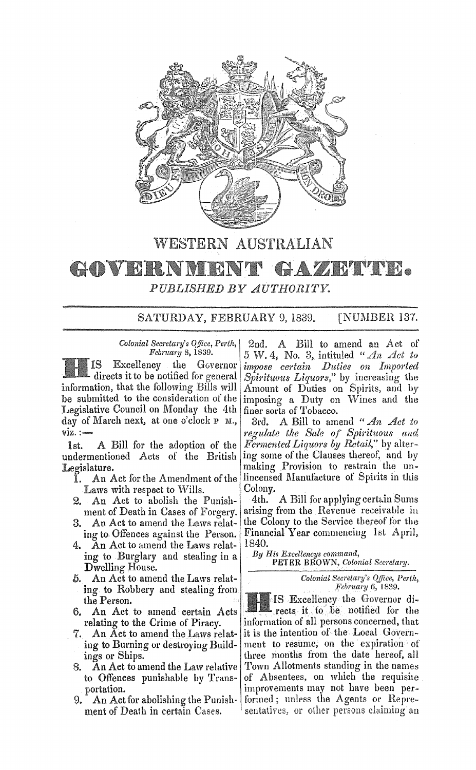

## WESTERN AUSTRALIAN

## **•** GEOVERANDI UH. *PUBLISHED BY AUTHORITY.*

## SATURDAY, FEBRUARY 9, 1839. [NUMBER 137.

*Colonial Secretary's Q/iice, Perth, February* 8, 1839.

IS Excellency the Governor directs it to be notified for general information, that the following Bills will be submitted to the consideration of the Legislative Council on Monday the 4th day of March next, at one o'clock  $P$  M.,  $viz. :=$ 

1st. A Bill for the adoption of the undermentioned Acts of the British Legislature.

- An Act for the Amendment of the Laws with respect to Wills.
- 2. An Act to abolish the Punishment of Death in Cases of Forgery.
- 3. An Act to amend the Laws relating to Offences against the Person.
- 4. An Act to amend the Laws relating to Burglary and stealing in a Dwelling House.
- 5. An Act to amend the Laws relating to Robbery and stealing from the Person.
- 6. An Act to amend certain Acts relating to the Crime of Piracy.
- 7. An Act to amend the Laws relating to Burning or destroying Buildings or Ships.
- 8. An Act to amend the Law relative to Offences punishable by Transportation.
- 9. An Act for abolisbing the Punish· ment of Death in certain Cases.

2nd. Bill to amend an Act of  $5 W. 4$ , No. 3, intituled " An Act to *impose certain Duties on Imported Spirituous Liquors,"* by increasing the Amount of Duties on Spirits, and by imposing a Duty on Wines and the finer sorts of Tobacco.

31'd. A Bill to amend *"An Act to regulate the Sale of Spirituous and Fermented Liquors by Retail,"* by altering some of the Clauses thereof, and by making Provision to restrain the unlincensed Manufacture of Spirits in this Colony.

4th. A Bill for applying certain Sums arising from the Revenue receivable iu the Colony to the Service thereof for the Financial Year commencing 1st April. 1840.

*By His Excellencys command,*  PETER BROWN, *Colonial Secretary.* 

> *Colonial Secretary's Office, Perth, February* 6, 1839.

Excellency the Governur di. rects it to be notified for the information of all persons concerned, that it is the intention of the Local Government to resume, on the expiration of three months from the date hereof, all Town Allotments standing in the names of Absentees, on which the requisite improvements may not have been performed; unless the Agents or Representatives, or other persons claiming an